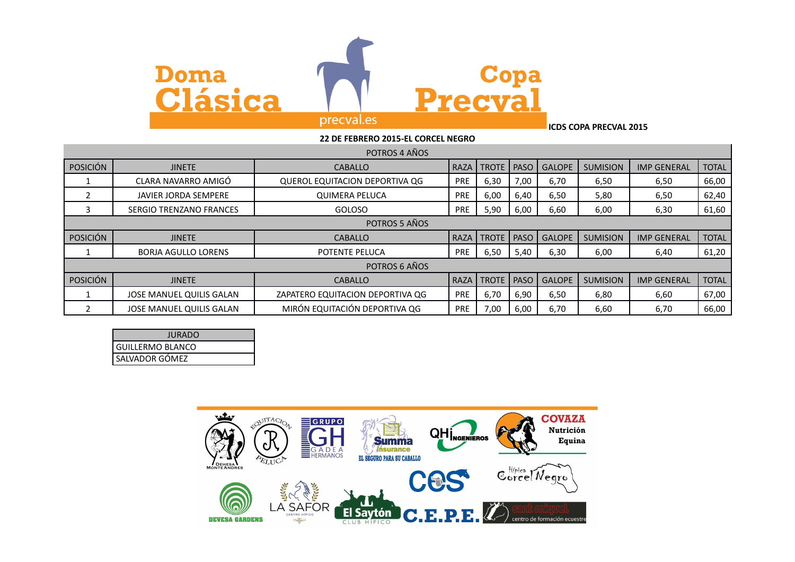

**ICDS COPA PRECVAL 2015**

|                 | 22 DE FEBRERO 2015-EL CORCEL NEGRO |                                  |            |              |             |               |                 |                    |              |
|-----------------|------------------------------------|----------------------------------|------------|--------------|-------------|---------------|-----------------|--------------------|--------------|
|                 | POTROS 4 AÑOS                      |                                  |            |              |             |               |                 |                    |              |
| <b>POSICIÓN</b> | <b>JINETE</b>                      | <b>CABALLO</b>                   | RAZA       | <b>TROTE</b> | <b>PASO</b> | <b>GALOPE</b> | <b>SUMISION</b> | <b>IMP GENERAL</b> | <b>TOTAL</b> |
|                 | CLARA NAVARRO AMIGÓ                | QUEROL EQUITACION DEPORTIVA QG   | <b>PRE</b> | 6,30         | 7,00        | 6,70          | 6,50            | 6,50               | 66,00        |
| 2               | <b>JAVIER JORDA SEMPERE</b>        | <b>QUIMERA PELUCA</b>            | <b>PRE</b> | 6,00         | 6,40        | 6,50          | 5,80            | 6,50               | 62,40        |
| 3               | <b>SERGIO TRENZANO FRANCES</b>     | GOLOSO                           | <b>PRE</b> | 5,90         | 6,00        | 6,60          | 6,00            | 6,30               | 61,60        |
|                 |                                    | POTROS 5 AÑOS                    |            |              |             |               |                 |                    |              |
| <b>POSICIÓN</b> | <b>JINETE</b>                      | <b>CABALLO</b>                   | RAZA       | <b>TROTE</b> | <b>PASO</b> | <b>GALOPE</b> | <b>SUMISION</b> | <b>IMP GENERAL</b> | <b>TOTAL</b> |
|                 | <b>BORJA AGULLO LORENS</b>         | POTENTE PELUCA                   | PRE        | 6,50         | 5,40        | 6,30          | 6,00            | 6,40               | 61,20        |
|                 |                                    | POTROS 6 AÑOS                    |            |              |             |               |                 |                    |              |
| <b>POSICIÓN</b> | <b>JINETE</b>                      | <b>CABALLO</b>                   | RAZA       | <b>TROTE</b> | <b>PASO</b> | <b>GALOPE</b> | <b>SUMISION</b> | <b>IMP GENERAL</b> | <b>TOTAL</b> |
|                 | JOSE MANUEL QUILIS GALAN           | ZAPATERO EQUITACION DEPORTIVA QG | <b>PRE</b> | 6,70         | 6,90        | 6,50          | 6,80            | 6,60               | 67,00        |
|                 | JOSE MANUEL QUILIS GALAN           | MIRÓN EQUITACIÓN DEPORTIVA QG    | <b>PRE</b> | 7,00         | 6,00        | 6,70          | 6,60            | 6,70               | 66,00        |

| JURADO             |
|--------------------|
| l GUILLERMO BLANCO |
| SALVADOR GÓMEZ     |

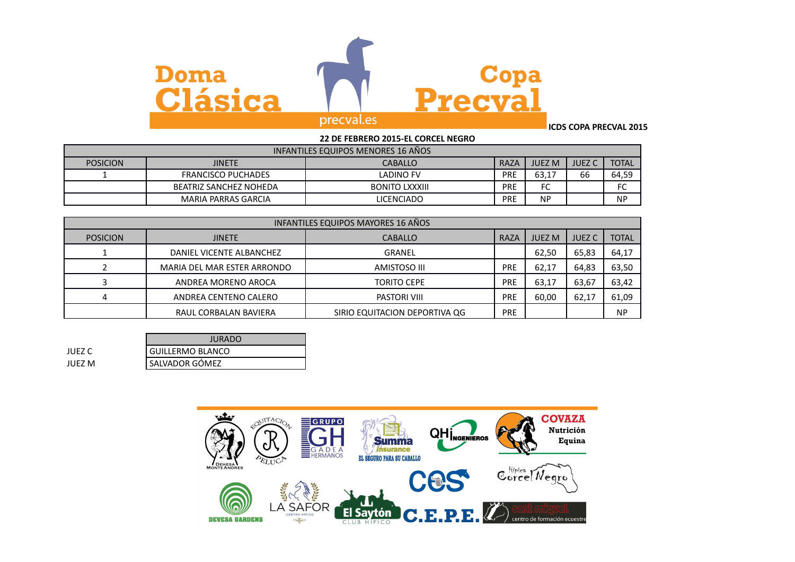

**ICDS COPA PRECVAL 2015**

## **22 DE FEBRERO 2015-EL CORCEL NEGRO** INFANTILES EQUIPOS MENORES 16 AÑOS POSICION JINETE CABALLO RAZA JUEZ M JUEZ C TOTAL 1 FRANCISCO PUCHADES | LADINO FV | PRE | 63,17 | 66 | 64,59 BEATRIZ SANCHEZ NOHEDA **BONITO LXXXIII** PRE FC FC FC FC MARIA PARRAS GARCIA **Reading Contract CONCLUST** LICENCIADO **PRE** NP NP NP

| INFANTILES EQUIPOS MAYORES 16 AÑOS |                             |                               |             |               |               |              |
|------------------------------------|-----------------------------|-------------------------------|-------------|---------------|---------------|--------------|
| <b>POSICION</b>                    | <b>JINETE</b>               | <b>CABALLO</b>                | <b>RAZA</b> | <b>JUEZ M</b> | <b>JUEZ C</b> | <b>TOTAL</b> |
|                                    | DANIEL VICENTE ALBANCHEZ    | GRANEL                        |             | 62,50         | 65,83         | 64,17        |
|                                    | MARIA DEL MAR ESTER ARRONDO | AMISTOSO III                  | PRE         | 62.17         | 64,83         | 63,50        |
|                                    | ANDREA MORENO AROCA         | <b>TORITO CEPE</b>            | PRE         | 63,17         | 63,67         | 63,42        |
|                                    | ANDREA CENTENO CALERO       | PASTORI VIII                  | PRE         | 60,00         | 62,17         | 61,09        |
|                                    | RAUL CORBALAN BAVIERA       | SIRIO EQUITACION DEPORTIVA QG | <b>PRE</b>  |               |               | <b>NP</b>    |

|        | <b>JURADO</b>           |
|--------|-------------------------|
| JUEZ C | <b>GUILLERMO BLANCO</b> |
| JUFZ M | ' SALVADOR GÓMEZ        |

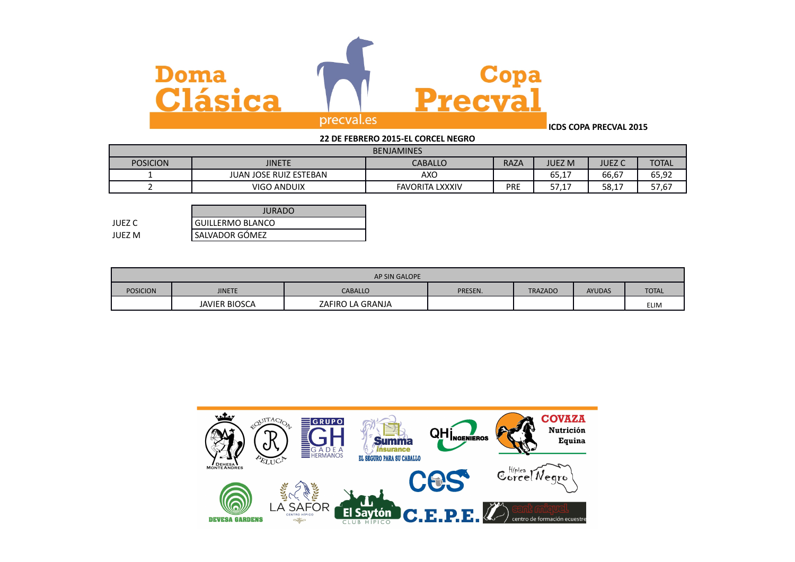

## **ICDS COPA PRECVAL 2015**

| <b>BENJAMINES</b> |                               |                        |             |               |        |              |
|-------------------|-------------------------------|------------------------|-------------|---------------|--------|--------------|
| <b>POSICION</b>   | JINETE                        | <b>CABALLO</b>         | <b>RAZA</b> | <b>JUEZ M</b> | JUEZ C | <b>TOTAL</b> |
|                   | <b>JUAN JOSE RUIZ ESTEBAN</b> | AXO                    |             | 65.17         | 66,67  | 65,92        |
|                   | <b>VIGO ANDUIX</b>            | <b>FAVORITA LXXXIV</b> | PRE         | ىندىر         | 58,17  | 57,67        |

|        | JURADO                  |
|--------|-------------------------|
| JUEZ C | <b>GUILLERMO BLANCO</b> |
| JUEZ M | SALVADOR GÓMEZ          |

| AP SIN GALOPE   |               |                  |         |                |               |              |  |
|-----------------|---------------|------------------|---------|----------------|---------------|--------------|--|
| <b>POSICION</b> | <b>JINETE</b> | <b>CABALLO</b>   | PRESEN. | <b>TRAZADO</b> | <b>AYUDAS</b> | <b>TOTAL</b> |  |
|                 | JAVIER BIOSCA | ZAFIRO LA GRANJA |         |                |               | <b>ELIM</b>  |  |

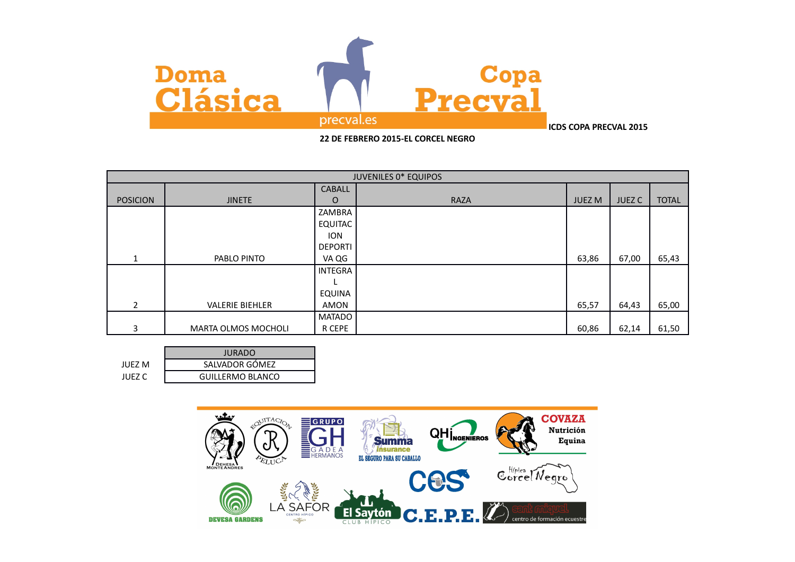

|                 |                            |                | <b>JUVENILES 0* EQUIPOS</b> |               |               |              |
|-----------------|----------------------------|----------------|-----------------------------|---------------|---------------|--------------|
|                 |                            | <b>CABALL</b>  |                             |               |               |              |
| <b>POSICION</b> | <b>JINETE</b>              | $\circ$        | <b>RAZA</b>                 | <b>JUEZ M</b> | <b>JUEZ C</b> | <b>TOTAL</b> |
|                 |                            | ZAMBRA         |                             |               |               |              |
|                 |                            | EQUITAC        |                             |               |               |              |
|                 |                            | <b>ION</b>     |                             |               |               |              |
|                 |                            | <b>DEPORTI</b> |                             |               |               |              |
| $\mathbf{1}$    | PABLO PINTO                | VA QG          |                             | 63,86         | 67,00         | 65,43        |
|                 |                            | <b>INTEGRA</b> |                             |               |               |              |
|                 |                            |                |                             |               |               |              |
|                 |                            | EQUINA         |                             |               |               |              |
| $\overline{2}$  | <b>VALERIE BIEHLER</b>     | AMON           |                             | 65,57         | 64,43         | 65,00        |
|                 |                            | <b>MATADO</b>  |                             |               |               |              |
| 3               | <b>MARTA OLMOS MOCHOLI</b> | R CEPE         |                             | 60,86         | 62,14         | 61,50        |

|        | <b>JURADO</b>           |
|--------|-------------------------|
| JUFZ M | SALVADOR GÓMEZ          |
| IUFZ C | <b>GUILLERMO BLANCO</b> |

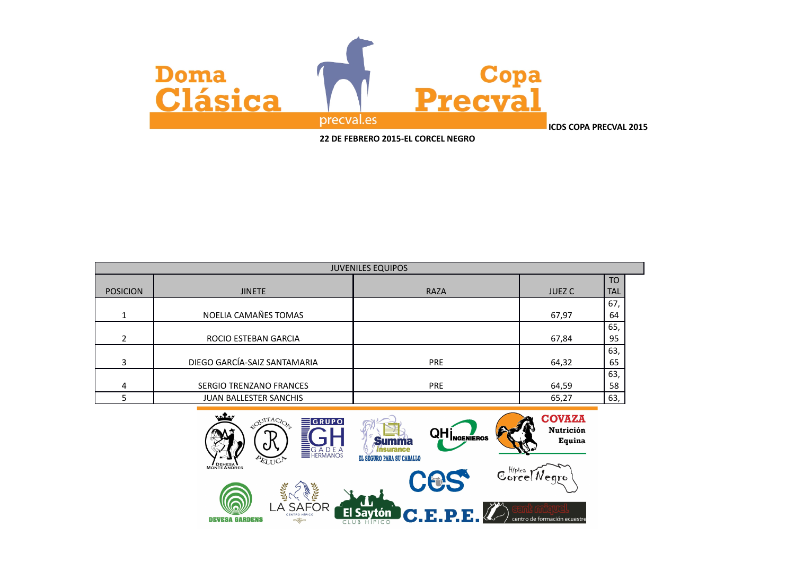

|                 |                              | <b>JUVENILES EQUIPOS</b> |               |            |
|-----------------|------------------------------|--------------------------|---------------|------------|
|                 |                              |                          |               | <b>TO</b>  |
| <b>POSICION</b> | <b>JINETE</b>                | <b>RAZA</b>              | <b>JUEZ C</b> | <b>TAL</b> |
|                 |                              |                          |               | 67,        |
| 1               | NOELIA CAMAÑES TOMAS         |                          | 67,97         | 64         |
|                 |                              |                          |               | 65,        |
| $\overline{2}$  | ROCIO ESTEBAN GARCIA         |                          | 67,84         | 95         |
|                 |                              |                          |               | 63,        |
| 3               | DIEGO GARCÍA-SAIZ SANTAMARIA | <b>PRE</b>               | 64,32         | 65         |
|                 |                              |                          |               | 63,        |
| 4               | SERGIO TRENZANO FRANCES      | <b>PRE</b>               | 64,59         | 58         |
|                 | JUAN BALLESTER SANCHIS       |                          | 65,27         | 63,        |

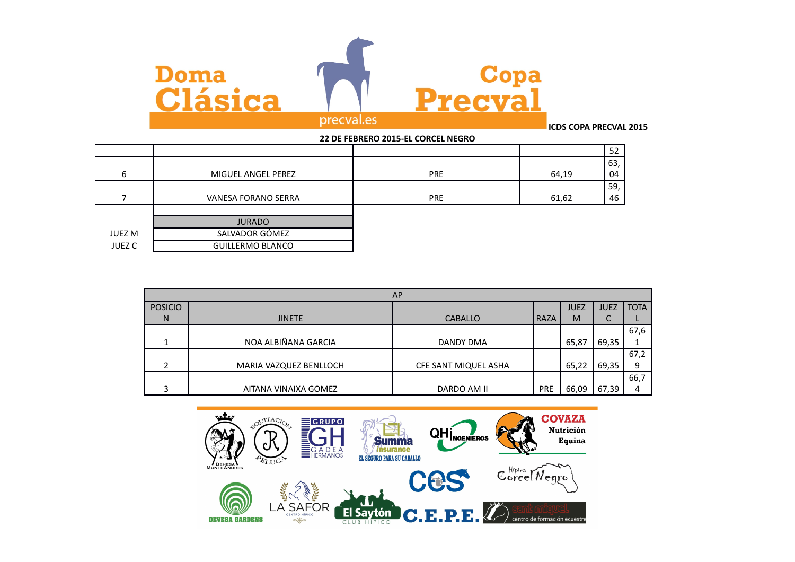

|               |                         | LL DL I LDINLIND LUID LL COINCLL INLOIND |             |  |
|---------------|-------------------------|------------------------------------------|-------------|--|
|               |                         |                                          | 52          |  |
|               |                         |                                          | 63,         |  |
| h             | MIGUEL ANGEL PEREZ      | <b>PRE</b>                               | 64,19<br>04 |  |
|               |                         |                                          | 59,         |  |
|               | VANESA FORANO SERRA     | <b>PRE</b>                               | 61,62<br>46 |  |
|               |                         |                                          |             |  |
|               | <b>JURADO</b>           |                                          |             |  |
| JUEZ M        | SALVADOR GÓMEZ          |                                          |             |  |
| <b>JUEZ C</b> | <b>GUILLERMO BLANCO</b> |                                          |             |  |
|               |                         |                                          |             |  |

| <b>AP</b>      |                        |                      |            |             |             |             |
|----------------|------------------------|----------------------|------------|-------------|-------------|-------------|
| <b>POSICIO</b> |                        |                      |            | <b>JUEZ</b> | <b>JUEZ</b> | <b>TOTA</b> |
| N              | <b>JINETE</b>          | <b>CABALLO</b>       | RAZA       | M           | C           |             |
|                |                        |                      |            |             |             | 67,6        |
|                | NOA ALBIÑANA GARCIA    | DANDY DMA            |            | 65,87       | 69,35       |             |
|                |                        |                      |            |             |             | 67,2        |
|                | MARIA VAZQUEZ BENLLOCH | CFE SANT MIQUEL ASHA |            | 65,22       | 69,35       | 9           |
|                |                        |                      |            |             |             | 66,7        |
|                | AITANA VINAIXA GOMEZ   | DARDO AM II          | <b>PRE</b> | 66,09       | 67,39       | 4           |

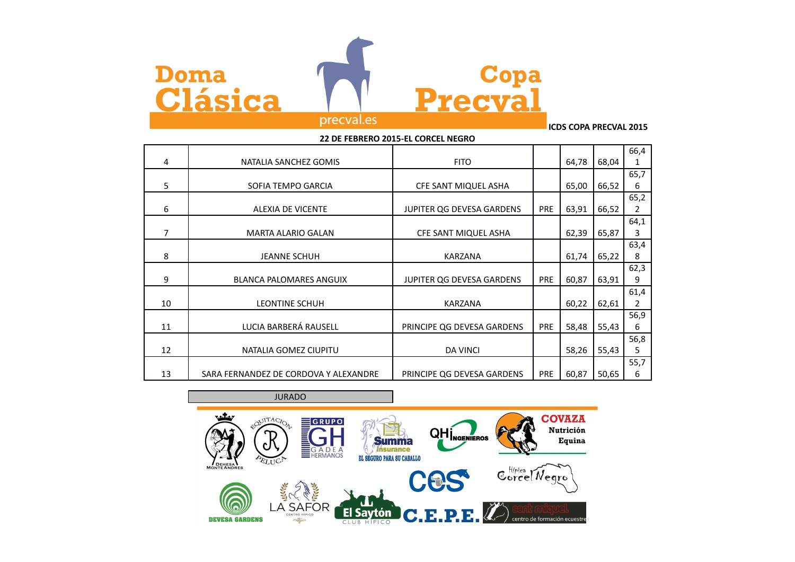



## precval.es

**ICDS COPA PRECVAL 2015**

| 22 DE FEBRERO 2015-EL CORCEL NEGRO |                                       |                            |            |       |       |                |
|------------------------------------|---------------------------------------|----------------------------|------------|-------|-------|----------------|
|                                    |                                       |                            |            |       |       | 66,4           |
| 4                                  | NATALIA SANCHEZ GOMIS                 | <b>FITO</b>                |            | 64,78 | 68,04 | 1              |
|                                    |                                       |                            |            |       |       | 65,7           |
| 5                                  | SOFIA TEMPO GARCIA                    | CFE SANT MIQUEL ASHA       |            | 65,00 | 66,52 | 6              |
|                                    |                                       |                            |            |       |       | 65,2           |
| 6                                  | <b>ALEXIA DE VICENTE</b>              | JUPITER QG DEVESA GARDENS  | <b>PRE</b> | 63,91 | 66,52 | $\overline{2}$ |
|                                    |                                       |                            |            |       |       | 64,1           |
| 7                                  | <b>MARTA ALARIO GALAN</b>             | CFE SANT MIQUEL ASHA       |            | 62,39 | 65,87 | 3              |
|                                    |                                       |                            |            |       |       | 63,4           |
| 8                                  | <b>JEANNE SCHUH</b>                   | <b>KARZANA</b>             |            | 61,74 | 65,22 | 8              |
|                                    |                                       |                            |            |       |       | 62,3           |
| 9                                  | BLANCA PALOMARES ANGUIX               | JUPITER QG DEVESA GARDENS  | <b>PRE</b> | 60,87 | 63,91 | 9              |
|                                    |                                       |                            |            |       |       | 61,4           |
| 10                                 | <b>LEONTINE SCHUH</b>                 | <b>KARZANA</b>             |            | 60,22 | 62,61 | 2              |
|                                    |                                       |                            |            |       |       | 56,9           |
| 11                                 | LUCIA BARBERÁ RAUSELL                 | PRINCIPE QG DEVESA GARDENS | <b>PRE</b> | 58,48 | 55,43 | 6              |
|                                    |                                       |                            |            |       |       | 56,8           |
| 12                                 | NATALIA GOMEZ CIUPITU                 | <b>DA VINCI</b>            |            | 58,26 | 55,43 | 5              |
|                                    |                                       |                            |            |       |       | 55,7           |
| 13                                 | SARA FERNANDEZ DE CORDOVA Y ALEXANDRE | PRINCIPE QG DEVESA GARDENS | <b>PRE</b> | 60,87 | 50,65 | 6              |

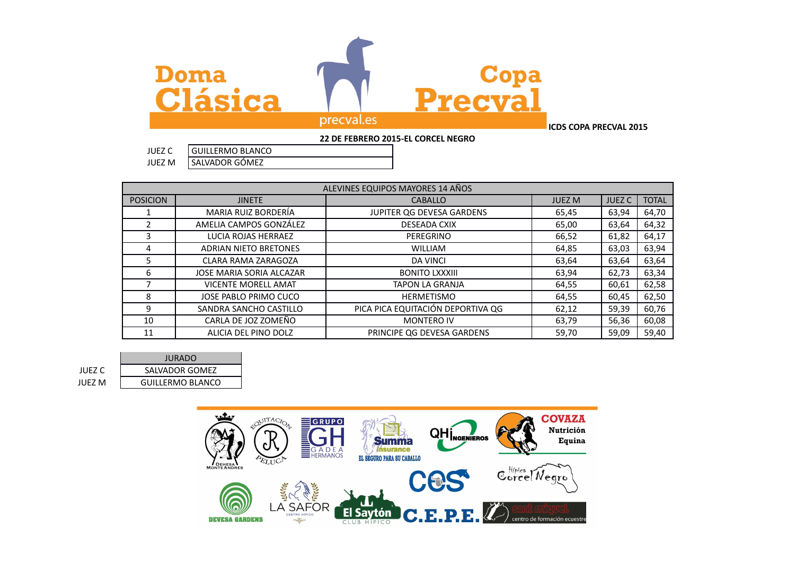

| JUEZ M          | SALVADUR GUIVIEZ       |                                  |  |
|-----------------|------------------------|----------------------------------|--|
|                 |                        |                                  |  |
|                 |                        | ALEVINES EQUIPOS MAYORES 14 AÑOS |  |
| <b>POSICION</b> | <b>JINETE</b>          | CABALLO                          |  |
|                 | MARIA RUIZ BORDERÍA    | JUPITER QG DEVESA GARDENS        |  |
|                 | AMELIA CAMPOS GONZALEZ | DESEADA CXIX                     |  |

POSICION JINETE CABALLO JUEZ M JUEZ C TOTAL 1 MARIA RUIZ BORDERÍA JUPITER QG DEVESA GARDENS 65,45 63,94 64,70 2 AMELIA CAMPOS GONZÁLEZ DESEADA CXIX 65,00 63,64 64,32 3 LUCIA ROJAS HERRAEZ REGRINO PEREGRINO REGRINO 66,52 64,17 4 ADRIAN NIETO BRETONES WILLIAM 64.85 63.03 63.94 5 CLARA RAMA ZARAGOZA DA VINCI 63,64 63,64 63,64 63,64 6 JOSE MARIA SORIA ALCAZAR BONITO LXXXIII 63,94 62,73 63,34 7 | VICENTE MORELL AMAT | TAPON LA GRANJA | 64,55 60,61 | 62,58 8 | JOSE PABLO PRIMO CUCO | HERMETISMO | 64,55 60,45 62,50 9 | SANDRA SANCHO CASTILLO | PICA PICA EQUITACIÓN DEPORTIVA QG | 62,12 | 59,39 | 60,76 10 CARLA DE JOZ ZOMEÑO CONTERO IV MONTERO IV CARLA DE JOZ ZOMEÑO 11 | ALICIA DEL PINO DOLZ | PRINCIPE QG DEVESA GARDENS | 59,70 | 59,09 | 59,40

JURADO JUEZ C SALVADOR GOMEZ JUEZ M | GUILLERMO BLANCO

JUEZ C GUILLERMO BLANCO  $\overline{G}$ 

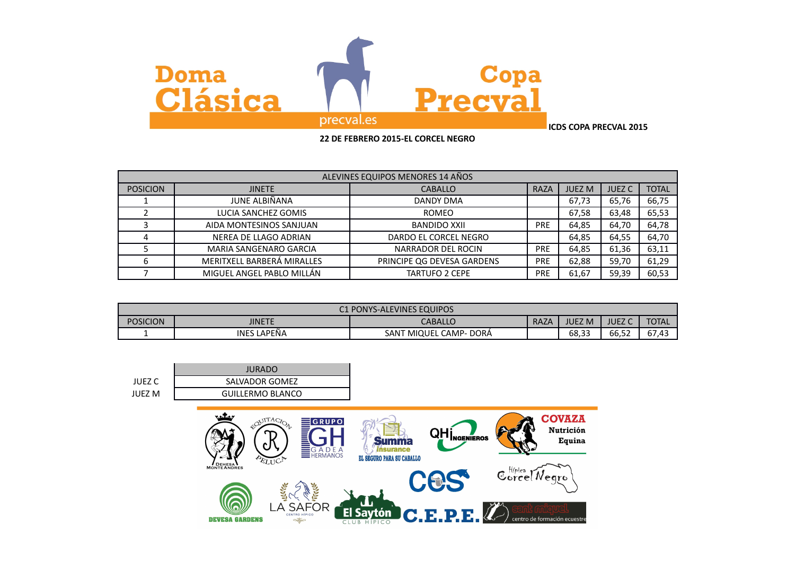

| ALEVINES EQUIPOS MENORES 14 AÑOS |                            |                            |            |               |               |              |
|----------------------------------|----------------------------|----------------------------|------------|---------------|---------------|--------------|
| <b>POSICION</b>                  | <b>JINETE</b>              | <b>CABALLO</b>             | RAZA       | <b>JUEZ M</b> | <b>JUEZ C</b> | <b>TOTAL</b> |
|                                  | JUNE ALBIÑANA              | <b>DANDY DMA</b>           |            | 67,73         | 65,76         | 66,75        |
|                                  | LUCIA SANCHEZ GOMIS        | <b>ROMEO</b>               |            | 67,58         | 63,48         | 65,53        |
|                                  | AIDA MONTESINOS SANJUAN    | BANDIDO XXII               | <b>PRE</b> | 64,85         | 64,70         | 64,78        |
|                                  | NEREA DE LLAGO ADRIAN      | DARDO EL CORCEL NEGRO      |            | 64,85         | 64,55         | 64,70        |
|                                  | MARIA SANGENARO GARCIA     | NARRADOR DEL ROCIN         | <b>PRE</b> | 64,85         | 61,36         | 63,11        |
|                                  | MERITXELL BARBERÁ MIRALLES | PRINCIPE OG DEVESA GARDENS | <b>PRE</b> | 62,88         | 59,70         | 61,29        |
|                                  | MIGUEL ANGEL PABLO MILLÁN  | <b>TARTUFO 2 CEPE</b>      | <b>PRE</b> | 61,67         | 59,39         | 60,53        |

| <b>C1 PONYS-ALEVINES EQUIPOS</b> |                    |                             |             |               |                           |              |
|----------------------------------|--------------------|-----------------------------|-------------|---------------|---------------------------|--------------|
| <b>POSICION</b>                  | <b>JINETE</b>      | CABALLO                     | <b>RAZA</b> | <b>JUEZ M</b> | <b>JUEZ</b>               | <b>TOTAL</b> |
|                                  | <b>INES LAPEÑA</b> | I MIQUEL CAMP- DORÁ<br>SANT |             | 68,33         | --<br><b>r</b> 2<br>66.52 | 67.43        |

|        | <b>JURADO</b>           |
|--------|-------------------------|
| JUEZ C | SALVADOR GOMEZ          |
| JUFZ M | <b>GUILLERMO BLANCO</b> |